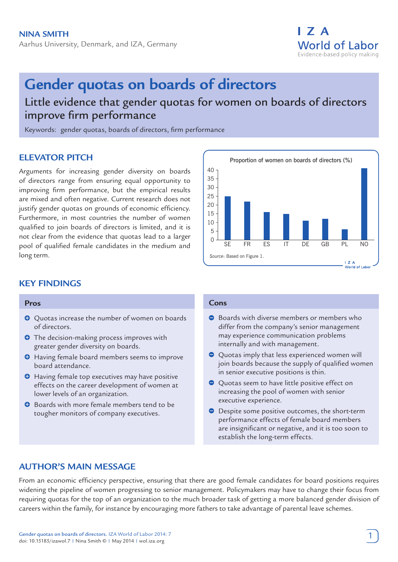Aarhus University, Denmark, and IZA, Germany



# **Gender quotas on boards of directors**

## Little evidence that gender quotas for women on boards of directors improve firm performance

Keywords: gender quotas, boards of directors, firm performance

## **ELEVATOR PITCH**

Arguments for increasing gender diversity on boards of directors range from ensuring equal opportunity to improving firm performance, but the empirical results are mixed and often negative. Current research does not justify gender quotas on grounds of economic efficiency. Furthermore, in most countries the number of women qualified to join boards of directors is limited, and it is not clear from the evidence that quotas lead to a larger pool of qualified female candidates in the medium and long term.

## **KEY FINDINGS**

#### **Pros**

- **Q** Quotas increase the number of women on boards of directors.
- **O** The decision-making process improves with greater gender diversity on boards.
- $\bullet$  Having female board members seems to improve board attendance.
- $\Theta$  Having female top executives may have positive effects on the career development of women at lower levels of an organization.
- **Boards with more female members tend to be** tougher monitors of company executives.

#### Proportion of women on boards of directors (%) 40 35 30 25 20 15 10 5  $\Omega$ SE FR ES IT DE GB PL NO*Source*: Based on Figure 1. I Z A<br>World of Labor

#### **Cons**

- Boards with diverse members or members who differ from the company's senior management may experience communication problems internally and with management.
- Quotas imply that less experienced women will join boards because the supply of qualified women in senior executive positions is thin.
- Quotas seem to have little positive effect on increasing the pool of women with senior executive experience.
- **O** Despite some positive outcomes, the short-term performance effects of female board members are insignificant or negative, and it is too soon to establish the long-term effects.

## **AUTHOR'S MAIN MESSAGE**

From an economic efficiency perspective, ensuring that there are good female candidates for board positions requires widening the pipeline of women progressing to senior management. Policymakers may have to change their focus from requiring quotas for the top of an organization to the much broader task of getting a more balanced gender division of careers within the family, for instance by encouraging more fathers to take advantage of parental leave schemes.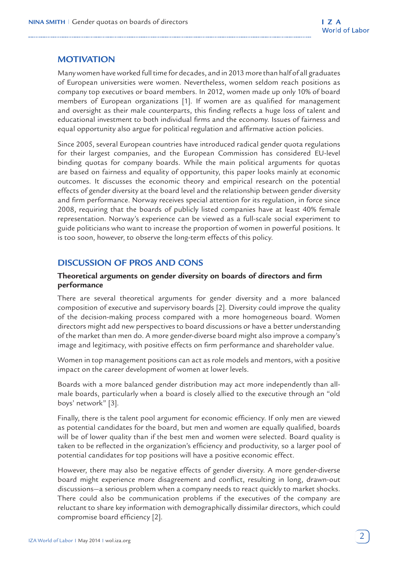## **MOTIVATION**

Many women have worked full time for decades, and in 2013 more than half of all graduates of European universities were women. Nevertheless, women seldom reach positions as company top executives or board members. In 2012, women made up only 10% of board members of European organizations [1]. If women are as qualified for management and oversight as their male counterparts, this finding reflects a huge loss of talent and educational investment to both individual firms and the economy. Issues of fairness and equal opportunity also argue for political regulation and affirmative action policies.

Since 2005, several European countries have introduced radical gender quota regulations for their largest companies, and the European Commission has considered EU-level binding quotas for company boards. While the main political arguments for quotas are based on fairness and equality of opportunity, this paper looks mainly at economic outcomes. It discusses the economic theory and empirical research on the potential effects of gender diversity at the board level and the relationship between gender diversity and firm performance. Norway receives special attention for its regulation, in force since 2008, requiring that the boards of publicly listed companies have at least 40% female representation. Norway's experience can be viewed as a full-scale social experiment to guide politicians who want to increase the proportion of women in powerful positions. It is too soon, however, to observe the long-term effects of this policy.

### **DISCUSSION OF PROS AND CONS**

#### **Theoretical arguments on gender diversity on boards of directors and firm performance**

There are several theoretical arguments for gender diversity and a more balanced composition of executive and supervisory boards [2]. Diversity could improve the quality of the decision-making process compared with a more homogeneous board. Women directors might add new perspectives to board discussions or have a better understanding of the market than men do. A more gender-diverse board might also improve a company's image and legitimacy, with positive effects on firm performance and shareholder value.

Women in top management positions can act as role models and mentors, with a positive impact on the career development of women at lower levels.

Boards with a more balanced gender distribution may act more independently than allmale boards, particularly when a board is closely allied to the executive through an "old boys' network" [3].

Finally, there is the talent pool argument for economic efficiency. If only men are viewed as potential candidates for the board, but men and women are equally qualified, boards will be of lower quality than if the best men and women were selected. Board quality is taken to be reflected in the organization's efficiency and productivity, so a larger pool of potential candidates for top positions will have a positive economic effect.

However, there may also be negative effects of gender diversity. A more gender-diverse board might experience more disagreement and conflict, resulting in long, drawn-out discussions—a serious problem when a company needs to react quickly to market shocks. There could also be communication problems if the executives of the company are reluctant to share key information with demographically dissimilar directors, which could compromise board efficiency [2].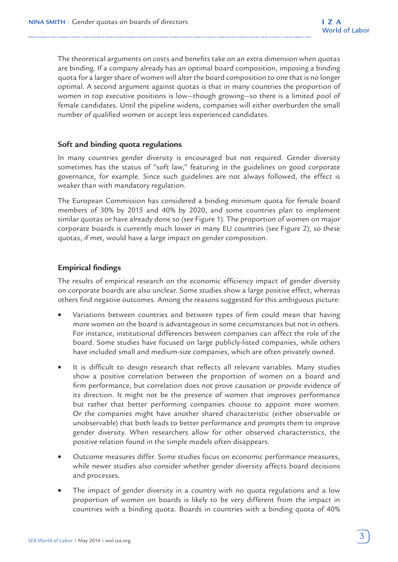The theoretical arguments on costs and benefits take on an extra dimension when quotas are binding. If a company already has an optimal board composition, imposing a binding quota for a larger share of women will alter the board composition to one that is no longer optimal. A second argument against quotas is that in many countries the proportion of women in top executive positions is low—though growing—so there is a limited pool of female candidates. Until the pipeline widens, companies will either overburden the small number of qualified women or accept less experienced candidates.

#### **Soft and binding quota regulations**

In many countries gender diversity is encouraged but not required. Gender diversity sometimes has the status of "soft law," featuring in the guidelines on good corporate governance, for example. Since such guidelines are not always followed, the effect is weaker than with mandatory regulation.

The European Commission has considered a binding minimum quota for female board members of 30% by 2015 and 40% by 2020, and some countries plan to implement similar quotas or have already done so (see Figure 1). The proportion of women on major corporate boards is currently much lower in many EU countries (see Figure 2), so these quotas, if met, would have a large impact on gender composition.

#### **Empirical findings**

The results of empirical research on the economic efficiency impact of gender diversity on corporate boards are also unclear. Some studies show a large positive effect, whereas others find negative outcomes. Among the reasons suggested for this ambiguous picture:

- Variations between countries and between types of firm could mean that having more women on the board is advantageous in some circumstances but not in others. For instance, institutional differences between companies can affect the role of the board. Some studies have focused on large publicly-listed companies, while others have included small and medium-size companies, which are often privately owned.
- It is difficult to design research that reflects all relevant variables. Many studies show a positive correlation between the proportion of women on a board and firm performance, but correlation does not prove causation or provide evidence of its direction. It might not be the presence of women that improves performance but rather that better performing companies choose to appoint more women. Or the companies might have another shared characteristic (either observable or unobservable) that both leads to better performance and prompts them to improve gender diversity. When researchers allow for other observed characteristics, the positive relation found in the simple models often disappears.
- Outcome measures differ. Some studies focus on economic performance measures, while newer studies also consider whether gender diversity affects board decisions and processes.
- The impact of gender diversity in a country with no quota regulations and a low proportion of women on boards is likely to be very different from the impact in countries with a binding quota. Boards in countries with a binding quota of 40%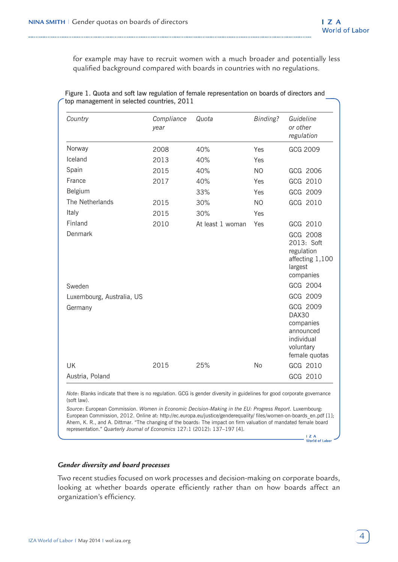for example may have to recruit women with a much broader and potentially less qualified background compared with boards in countries with no regulations.

| Figure 1. Quota and soft law regulation of female representation on boards of directors and |  |
|---------------------------------------------------------------------------------------------|--|
| top management in selected countries, $2011$                                                |  |

| Country                   | Compliance<br>year | Quota            | Binding?       | Guideline<br>or other<br>regulation                                                     |
|---------------------------|--------------------|------------------|----------------|-----------------------------------------------------------------------------------------|
| Norway                    | 2008               | 40%              | Yes            | GCG 2009                                                                                |
| Iceland                   | 2013               | 40%              | Yes            |                                                                                         |
| Spain                     | 2015               | 40%              | N <sub>O</sub> | GCG 2006                                                                                |
| France                    | 2017               | 40%              | Yes            | GCG 2010                                                                                |
| Belgium                   |                    | 33%              | Yes            | GCG 2009                                                                                |
| The Netherlands           | 2015               | 30%              | N <sub>O</sub> | GCG 2010                                                                                |
| Italy                     | 2015               | 30%              | Yes            |                                                                                         |
| Finland                   | 2010               | At least 1 woman | Yes            | GCG 2010                                                                                |
| Denmark                   |                    |                  |                | GCG 2008<br>2013: Soft<br>regulation<br>affecting 1,100<br>largest<br>companies         |
| Sweden                    |                    |                  |                | GCG 2004                                                                                |
| Luxembourg, Australia, US |                    |                  |                | GCG 2009                                                                                |
| Germany                   |                    |                  |                | GCG 2009<br>DAX30<br>companies<br>announced<br>individual<br>voluntary<br>female quotas |
| <b>UK</b>                 | 2015               | 25%              | <b>No</b>      | GCG 2010                                                                                |
| Austria, Poland           |                    |                  |                | GCG 2010                                                                                |

*Note*: Blanks indicate that there is no regulation. GCG is gender diversity in guidelines for good corporate governance (soft law).

*Source*: European Commission. *Women in Economic Decision-Making in the EU: Progress Report*. Luxembourg: European Commission, 2012. Online at: http://ec.europa.eu/justice/genderequality/ files/women-on-boards\_en.pdf [1]; Ahern, K. R., and A. Dittmar. "The changing of the boards: The impact on firm valuation of mandated female board representation." *Quarterly Journal of Economics* 127:1 (2012): 137–197 [4]. I Z A<br>World of Labor

#### *Gender diversity and board processes*

Two recent studies focused on work processes and decision-making on corporate boards, looking at whether boards operate efficiently rather than on how boards affect an organization's efficiency.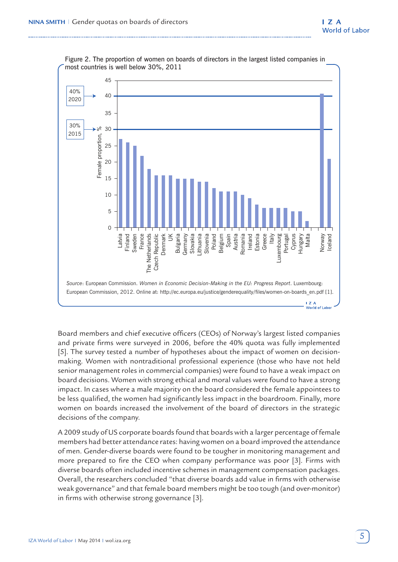

Figure 2. The proportion of women on boards of directors in the largest listed companies in

Board members and chief executive officers (CEOs) of Norway's largest listed companies and private firms were surveyed in 2006, before the 40% quota was fully implemented [5]. The survey tested a number of hypotheses about the impact of women on decisionmaking. Women with nontraditional professional experience (those who have not held senior management roles in commercial companies) were found to have a weak impact on board decisions. Women with strong ethical and moral values were found to have a strong impact. In cases where a male majority on the board considered the female appointees to be less qualified, the women had significantly less impact in the boardroom. Finally, more women on boards increased the involvement of the board of directors in the strategic decisions of the company.

A 2009 study of US corporate boards found that boards with a larger percentage of female members had better attendance rates: having women on a board improved the attendance of men. Gender-diverse boards were found to be tougher in monitoring management and more prepared to fire the CEO when company performance was poor [3]. Firms with diverse boards often included incentive schemes in management compensation packages. Overall, the researchers concluded "that diverse boards add value in firms with otherwise weak governance" and that female board members might be too tough (and over-monitor) in firms with otherwise strong governance [3].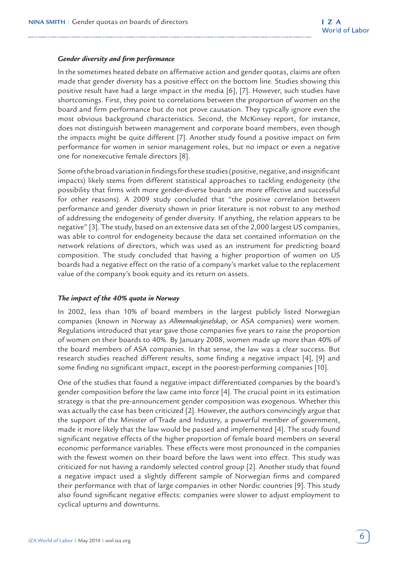#### *Gender diversity and firm performance*

In the sometimes heated debate on affirmative action and gender quotas, claims are often made that gender diversity has a positive effect on the bottom line. Studies showing this positive result have had a large impact in the media [6], [7]. However, such studies have shortcomings. First, they point to correlations between the proportion of women on the board and firm performance but do not prove causation. They typically ignore even the most obvious background characteristics. Second, the McKinsey report, for instance, does not distinguish between management and corporate board members, even though the impacts might be quite different [7]. Another study found a positive impact on firm performance for women in senior management roles, but no impact or even a negative one for nonexecutive female directors [8].

Some of the broad variation in findings for these studies (positive, negative, and insignificant impacts) likely stems from different statistical approaches to tackling endogeneity (the possibility that firms with more gender-diverse boards are more effective and successful for other reasons). A 2009 study concluded that "the positive correlation between performance and gender diversity shown in prior literature is not robust to any method of addressing the endogeneity of gender diversity. If anything, the relation appears to be negative" [3]. The study, based on an extensive data set of the 2,000 largest US companies, was able to control for endogeneity because the data set contained information on the network relations of directors, which was used as an instrument for predicting board composition. The study concluded that having a higher proportion of women on US boards had a negative effect on the ratio of a company's market value to the replacement value of the company's book equity and its return on assets.

#### *The impact of the 40% quota in Norway*

In 2002, less than 10% of board members in the largest publicly listed Norwegian companies (known in Norway as *Allmennaksjeselskap*, or ASA companies) were women. Regulations introduced that year gave those companies five years to raise the proportion of women on their boards to 40%. By January 2008, women made up more than 40% of the board members of ASA companies. In that sense, the law was a clear success. But research studies reached different results, some finding a negative impact [4], [9] and some finding no significant impact, except in the poorest-performing companies [10].

One of the studies that found a negative impact differentiated companies by the board's gender composition before the law came into force [4]. The crucial point in its estimation strategy is that the pre-announcement gender composition was exogenous. Whether this was actually the case has been criticized [2]. However, the authors convincingly argue that the support of the Minister of Trade and Industry, a powerful member of government, made it more likely that the law would be passed and implemented [4]. The study found significant negative effects of the higher proportion of female board members on several economic performance variables. These effects were most pronounced in the companies with the fewest women on their board before the laws went into effect. This study was criticized for not having a randomly selected control group [2]. Another study that found a negative impact used a slightly different sample of Norwegian firms and compared their performance with that of large companies in other Nordic countries [9]. This study also found significant negative effects: companies were slower to adjust employment to cyclical upturns and downturns.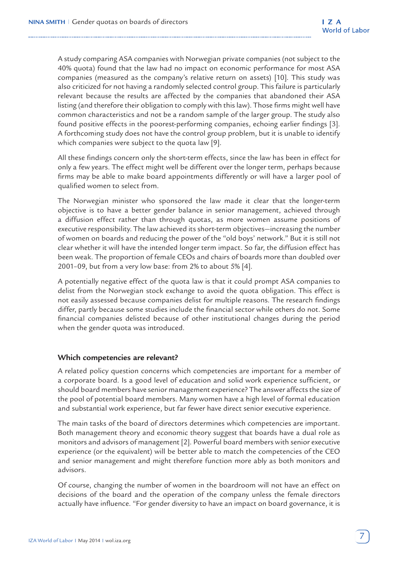A study comparing ASA companies with Norwegian private companies (not subject to the 40% quota) found that the law had no impact on economic performance for most ASA companies (measured as the company's relative return on assets) [10]. This study was also criticized for not having a randomly selected control group. This failure is particularly relevant because the results are affected by the companies that abandoned their ASA listing (and therefore their obligation to comply with this law). Those firms might well have common characteristics and not be a random sample of the larger group. The study also found positive effects in the poorest-performing companies, echoing earlier findings [3]. A forthcoming study does not have the control group problem, but it is unable to identify which companies were subject to the quota law [9].

All these findings concern only the short-term effects, since the law has been in effect for only a few years. The effect might well be different over the longer term, perhaps because firms may be able to make board appointments differently or will have a larger pool of qualified women to select from.

The Norwegian minister who sponsored the law made it clear that the longer-term objective is to have a better gender balance in senior management, achieved through a diffusion effect rather than through quotas, as more women assume positions of executive responsibility. The law achieved its short-term objectives—increasing the number of women on boards and reducing the power of the "old boys' network." But it is still not clear whether it will have the intended longer term impact. So far, the diffusion effect has been weak. The proportion of female CEOs and chairs of boards more than doubled over 2001–09, but from a very low base: from 2% to about 5% [4].

A potentially negative effect of the quota law is that it could prompt ASA companies to delist from the Norwegian stock exchange to avoid the quota obligation. This effect is not easily assessed because companies delist for multiple reasons. The research findings differ, partly because some studies include the financial sector while others do not. Some financial companies delisted because of other institutional changes during the period when the gender quota was introduced.

#### **Which competencies are relevant?**

A related policy question concerns which competencies are important for a member of a corporate board. Is a good level of education and solid work experience sufficient, or should board members have senior management experience? The answer affects the size of the pool of potential board members. Many women have a high level of formal education and substantial work experience, but far fewer have direct senior executive experience.

The main tasks of the board of directors determines which competencies are important. Both management theory and economic theory suggest that boards have a dual role as monitors and advisors of management [2]. Powerful board members with senior executive experience (or the equivalent) will be better able to match the competencies of the CEO and senior management and might therefore function more ably as both monitors and advisors.

Of course, changing the number of women in the boardroom will not have an effect on decisions of the board and the operation of the company unless the female directors actually have influence. "For gender diversity to have an impact on board governance, it is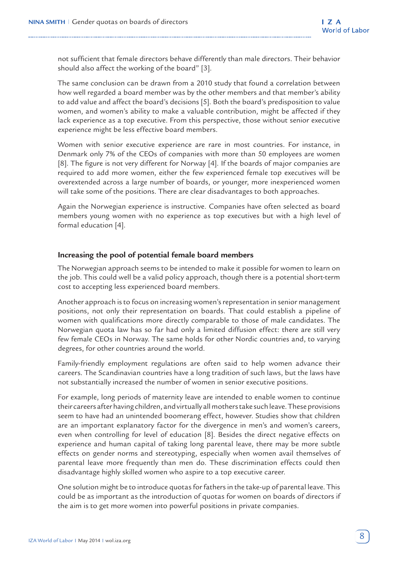not sufficient that female directors behave differently than male directors. Their behavior should also affect the working of the board" [3].

The same conclusion can be drawn from a 2010 study that found a correlation between how well regarded a board member was by the other members and that member's ability to add value and affect the board's decisions [5]. Both the board's predisposition to value women, and women's ability to make a valuable contribution, might be affected if they lack experience as a top executive. From this perspective, those without senior executive experience might be less effective board members.

Women with senior executive experience are rare in most countries. For instance, in Denmark only 7% of the CEOs of companies with more than 50 employees are women [8]. The figure is not very different for Norway [4]. If the boards of major companies are required to add more women, either the few experienced female top executives will be overextended across a large number of boards, or younger, more inexperienced women will take some of the positions. There are clear disadvantages to both approaches.

Again the Norwegian experience is instructive. Companies have often selected as board members young women with no experience as top executives but with a high level of formal education [4].

#### **Increasing the pool of potential female board members**

The Norwegian approach seems to be intended to make it possible for women to learn on the job. This could well be a valid policy approach, though there is a potential short-term cost to accepting less experienced board members.

Another approach is to focus on increasing women's representation in senior management positions, not only their representation on boards. That could establish a pipeline of women with qualifications more directly comparable to those of male candidates. The Norwegian quota law has so far had only a limited diffusion effect: there are still very few female CEOs in Norway. The same holds for other Nordic countries and, to varying degrees, for other countries around the world.

Family-friendly employment regulations are often said to help women advance their careers. The Scandinavian countries have a long tradition of such laws, but the laws have not substantially increased the number of women in senior executive positions.

For example, long periods of maternity leave are intended to enable women to continue their careers after having children, and virtually all mothers take such leave. These provisions seem to have had an unintended boomerang effect, however. Studies show that children are an important explanatory factor for the divergence in men's and women's careers, even when controlling for level of education [8]. Besides the direct negative effects on experience and human capital of taking long parental leave, there may be more subtle effects on gender norms and stereotyping, especially when women avail themselves of parental leave more frequently than men do. These discrimination effects could then disadvantage highly skilled women who aspire to a top executive career.

One solution might be to introduce quotas for fathers in the take-up of parental leave. This could be as important as the introduction of quotas for women on boards of directors if the aim is to get more women into powerful positions in private companies.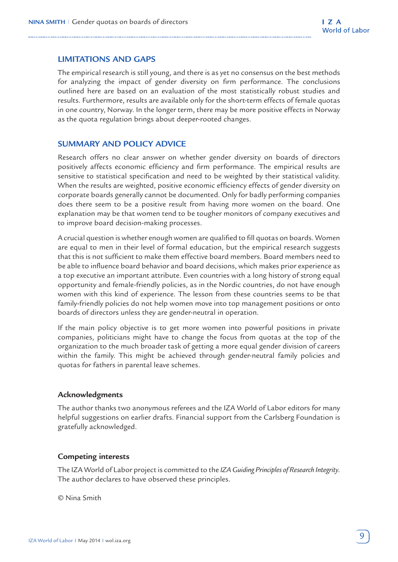#### **LIMITATIONS AND GAPS**

The empirical research is still young, and there is as yet no consensus on the best methods for analyzing the impact of gender diversity on firm performance. The conclusions outlined here are based on an evaluation of the most statistically robust studies and results. Furthermore, results are available only for the short-term effects of female quotas in one country, Norway. In the longer term, there may be more positive effects in Norway as the quota regulation brings about deeper-rooted changes.

#### **SUMMARY AND POLICY ADVICE**

Research offers no clear answer on whether gender diversity on boards of directors positively affects economic efficiency and firm performance. The empirical results are sensitive to statistical specification and need to be weighted by their statistical validity. When the results are weighted, positive economic efficiency effects of gender diversity on corporate boards generally cannot be documented. Only for badly performing companies does there seem to be a positive result from having more women on the board. One explanation may be that women tend to be tougher monitors of company executives and to improve board decision-making processes.

A crucial question is whether enough women are qualified to fill quotas on boards. Women are equal to men in their level of formal education, but the empirical research suggests that this is not sufficient to make them effective board members. Board members need to be able to influence board behavior and board decisions, which makes prior experience as a top executive an important attribute. Even countries with a long history of strong equal opportunity and female-friendly policies, as in the Nordic countries, do not have enough women with this kind of experience. The lesson from these countries seems to be that family-friendly policies do not help women move into top management positions or onto boards of directors unless they are gender-neutral in operation.

If the main policy objective is to get more women into powerful positions in private companies, politicians might have to change the focus from quotas at the top of the organization to the much broader task of getting a more equal gender division of careers within the family. This might be achieved through gender-neutral family policies and quotas for fathers in parental leave schemes.

#### **Acknowledgments**

The author thanks two anonymous referees and the IZA World of Labor editors for many helpful suggestions on earlier drafts. Financial support from the Carlsberg Foundation is gratefully acknowledged.

#### **Competing interests**

The IZA World of Labor project is committed to the *IZA Guiding Principles of Research Integrity*. The author declares to have observed these principles.

© Nina Smith